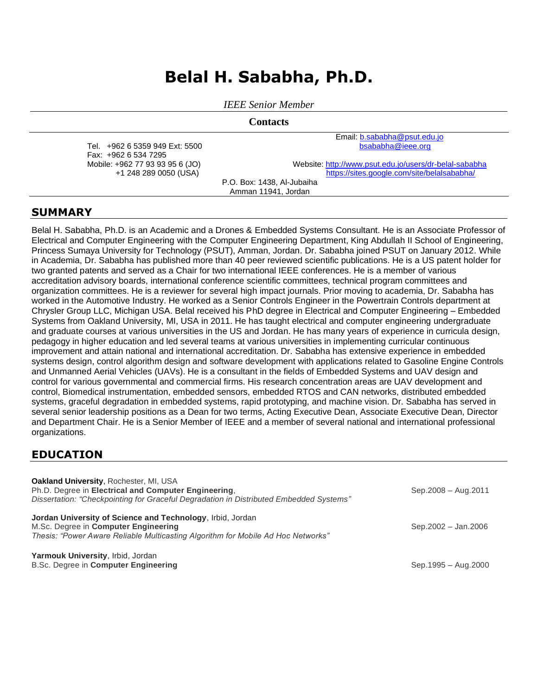# **Belal H. Sababha, Ph.D.**

*IEEE Senior Member*

**Contacts**

Tel. +962 6 5359 949 Ext: 5500 Fax: +962 6 534 7295 Mobile: +962 77 93 93 95 6 (JO) +1 248 289 0050 (USA)

Email[: b.sababha@psut.edu.jo](mailto:b.sababha@psut.edu.jo)  [bsababha@ieee.org](mailto:bsababha@ieee.org)

Website[: http://www.psut.edu.jo/users/dr-belal-sababha](http://www.psut.edu.jo/users/dr-belal-sababha) <https://sites.google.com/site/belalsababha/>

P.O. Box: 1438, Al-Jubaiha Amman 11941, Jordan

## **SUMMARY**

Belal H. Sababha, Ph.D. is an Academic and a Drones & Embedded Systems Consultant. He is an Associate Professor of Electrical and Computer Engineering with the Computer Engineering Department, King Abdullah II School of Engineering, Princess Sumaya University for Technology (PSUT), Amman, Jordan. Dr. Sababha joined PSUT on January 2012. While in Academia, Dr. Sababha has published more than 40 peer reviewed scientific publications. He is a US patent holder for two granted patents and served as a Chair for two international IEEE conferences. He is a member of various accreditation advisory boards, international conference scientific committees, technical program committees and organization committees. He is a reviewer for several high impact journals. Prior moving to academia, Dr. Sababha has worked in the Automotive Industry. He worked as a Senior Controls Engineer in the Powertrain Controls department at Chrysler Group LLC, Michigan USA. Belal received his PhD degree in Electrical and Computer Engineering – Embedded Systems from Oakland University, MI, USA in 2011. He has taught electrical and computer engineering undergraduate and graduate courses at various universities in the US and Jordan. He has many years of experience in curricula design, pedagogy in higher education and led several teams at various universities in implementing curricular continuous improvement and attain national and international accreditation. Dr. Sababha has extensive experience in embedded systems design, control algorithm design and software development with applications related to Gasoline Engine Controls and Unmanned Aerial Vehicles (UAVs). He is a consultant in the fields of Embedded Systems and UAV design and control for various governmental and commercial firms. His research concentration areas are UAV development and control, Biomedical instrumentation, embedded sensors, embedded RTOS and CAN networks, distributed embedded systems, graceful degradation in embedded systems, rapid prototyping, and machine vision. Dr. Sababha has served in several senior leadership positions as a Dean for two terms, Acting Executive Dean, Associate Executive Dean, Director and Department Chair. He is a Senior Member of IEEE and a member of several national and international professional organizations.

## **EDUCATION**

| <b>Oakland University, Rochester, MI, USA</b><br>Ph.D. Degree in Electrical and Computer Engineering,<br>Dissertation: "Checkpointing for Graceful Degradation in Distributed Embedded Systems" | Sep.2008 - Aug.2011 |
|-------------------------------------------------------------------------------------------------------------------------------------------------------------------------------------------------|---------------------|
| Jordan University of Science and Technology, Irbid, Jordan<br>M.Sc. Degree in Computer Engineering<br>Thesis: "Power Aware Reliable Multicasting Algorithm for Mobile Ad Hoc Networks"          | Sep.2002 - Jan.2006 |
| Yarmouk University, Irbid, Jordan<br>B.Sc. Degree in Computer Engineering                                                                                                                       | Sep.1995 - Aug.2000 |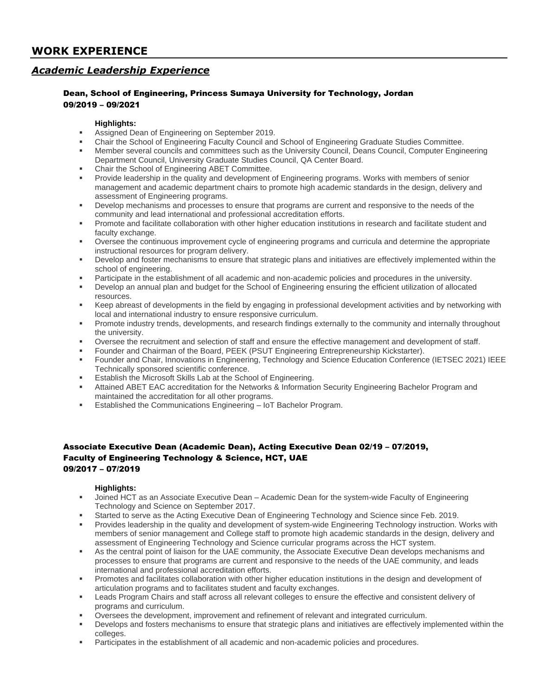## **WORK EXPERIENCE**

## *Academic Leadership Experience*

#### Dean, School of Engineering, Princess Sumaya University for Technology, Jordan 09/2019 – 09/2021

#### **Highlights:**

- Assigned Dean of Engineering on September 2019.
- Chair the School of Engineering Faculty Council and School of Engineering Graduate Studies Committee.
- Member several councils and committees such as the University Council, Deans Council, Computer Engineering Department Council, University Graduate Studies Council, QA Center Board.
- Chair the School of Engineering ABET Committee.
- Provide leadership in the quality and development of Engineering programs. Works with members of senior management and academic department chairs to promote high academic standards in the design, delivery and assessment of Engineering programs.
- Develop mechanisms and processes to ensure that programs are current and responsive to the needs of the community and lead international and professional accreditation efforts.
- Promote and facilitate collaboration with other higher education institutions in research and facilitate student and faculty exchange.
- Oversee the continuous improvement cycle of engineering programs and curricula and determine the appropriate instructional resources for program delivery.
- Develop and foster mechanisms to ensure that strategic plans and initiatives are effectively implemented within the school of engineering.
- Participate in the establishment of all academic and non-academic policies and procedures in the university.
- Develop an annual plan and budget for the School of Engineering ensuring the efficient utilization of allocated resources.
- Keep abreast of developments in the field by engaging in professional development activities and by networking with local and international industry to ensure responsive curriculum.
- Promote industry trends, developments, and research findings externally to the community and internally throughout the university.
- Oversee the recruitment and selection of staff and ensure the effective management and development of staff.
- Founder and Chairman of the Board, PEEK (PSUT Engineering Entrepreneurship Kickstarter).
- Founder and Chair, Innovations in Engineering, Technology and Science Education Conference (IETSEC 2021) IEEE Technically sponsored scientific conference.
- Establish the Microsoft Skills Lab at the School of Engineering.
- Attained ABET EAC accreditation for the Networks & Information Security Engineering Bachelor Program and maintained the accreditation for all other programs.
- Established the Communications Engineering IoT Bachelor Program.

#### Associate Executive Dean (Academic Dean), Acting Executive Dean 02/19 – 07/2019, Faculty of Engineering Technology & Science, HCT, UAE 09/2017 – 07/2019

#### **Highlights:**

- Joined HCT as an Associate Executive Dean Academic Dean for the system-wide Faculty of Engineering Technology and Science on September 2017.
- Started to serve as the Acting Executive Dean of Engineering Technology and Science since Feb. 2019.
- Provides leadership in the quality and development of system-wide Engineering Technology instruction. Works with members of senior management and College staff to promote high academic standards in the design, delivery and assessment of Engineering Technology and Science curricular programs across the HCT system.
- As the central point of liaison for the UAE community, the Associate Executive Dean develops mechanisms and processes to ensure that programs are current and responsive to the needs of the UAE community, and leads international and professional accreditation efforts.
- Promotes and facilitates collaboration with other higher education institutions in the design and development of articulation programs and to facilitates student and faculty exchanges.
- Leads Program Chairs and staff across all relevant colleges to ensure the effective and consistent delivery of programs and curriculum.
- Oversees the development, improvement and refinement of relevant and integrated curriculum.
- Develops and fosters mechanisms to ensure that strategic plans and initiatives are effectively implemented within the colleges.
- Participates in the establishment of all academic and non-academic policies and procedures.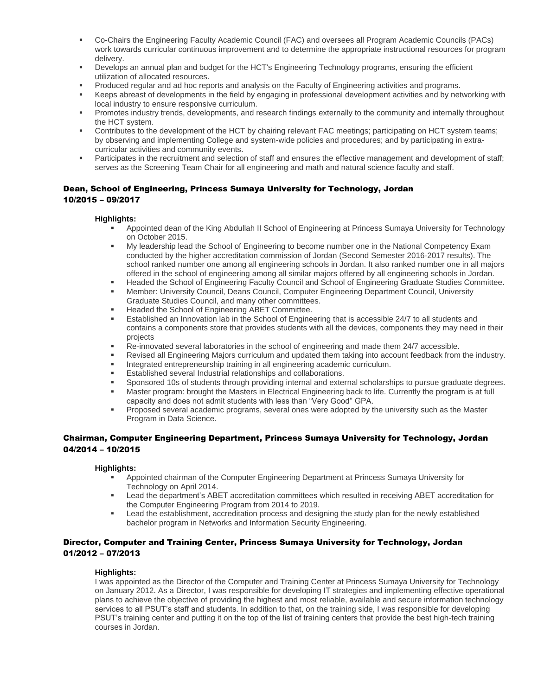- Co-Chairs the Engineering Faculty Academic Council (FAC) and oversees all Program Academic Councils (PACs) work towards curricular continuous improvement and to determine the appropriate instructional resources for program delivery.
- Develops an annual plan and budget for the HCT's Engineering Technology programs, ensuring the efficient utilization of allocated resources.
- Produced regular and ad hoc reports and analysis on the Faculty of Engineering activities and programs.
- Keeps abreast of developments in the field by engaging in professional development activities and by networking with local industry to ensure responsive curriculum.
- Promotes industry trends, developments, and research findings externally to the community and internally throughout the HCT system.
- Contributes to the development of the HCT by chairing relevant FAC meetings; participating on HCT system teams; by observing and implementing College and system-wide policies and procedures; and by participating in extracurricular activities and community events.
- **Participates in the recruitment and selection of staff and ensures the effective management and development of staff;** serves as the Screening Team Chair for all engineering and math and natural science faculty and staff.

#### Dean, School of Engineering, Princess Sumaya University for Technology, Jordan 10/2015 – 09/2017

#### **Highlights:**

- Appointed dean of the King Abdullah II School of Engineering at Princess Sumaya University for Technology on October 2015.
- My leadership lead the School of Engineering to become number one in the National Competency Exam conducted by the higher accreditation commission of Jordan (Second Semester 2016-2017 results). The school ranked number one among all engineering schools in Jordan. It also ranked number one in all majors offered in the school of engineering among all similar majors offered by all engineering schools in Jordan.
- Headed the School of Engineering Faculty Council and School of Engineering Graduate Studies Committee.
- Member: University Council, Deans Council, Computer Engineering Department Council, University Graduate Studies Council, and many other committees.
- **■** Headed the School of Engineering ABET Committee.
- Established an Innovation lab in the School of Engineering that is accessible 24/7 to all students and contains a components store that provides students with all the devices, components they may need in their projects
- Re-innovated several laboratories in the school of engineering and made them 24/7 accessible.
- Revised all Engineering Majors curriculum and updated them taking into account feedback from the industry.
- Integrated entrepreneurship training in all engineering academic curriculum.
- Established several Industrial relationships and collaborations.
- Sponsored 10s of students through providing internal and external scholarships to pursue graduate degrees.
- Master program: brought the Masters in Electrical Engineering back to life. Currently the program is at full capacity and does not admit students with less than "Very Good" GPA.
- **Proposed several academic programs, several ones were adopted by the university such as the Master** Program in Data Science.

#### Chairman, Computer Engineering Department, Princess Sumaya University for Technology, Jordan 04/2014 – 10/2015

#### **Highlights:**

- Appointed chairman of the Computer Engineering Department at Princess Sumaya University for Technology on April 2014.
- Lead the department's ABET accreditation committees which resulted in receiving ABET accreditation for the Computer Engineering Program from 2014 to 2019.
- Lead the establishment, accreditation process and designing the study plan for the newly established bachelor program in Networks and Information Security Engineering.

#### Director, Computer and Training Center, Princess Sumaya University for Technology, Jordan 01/2012 – 07/2013

#### **Highlights:**

I was appointed as the Director of the Computer and Training Center at Princess Sumaya University for Technology on January 2012. As a Director, I was responsible for developing IT strategies and implementing effective operational plans to achieve the objective of providing the highest and most reliable, available and secure information technology services to all PSUT's staff and students. In addition to that, on the training side, I was responsible for developing PSUT's training center and putting it on the top of the list of training centers that provide the best high-tech training courses in Jordan.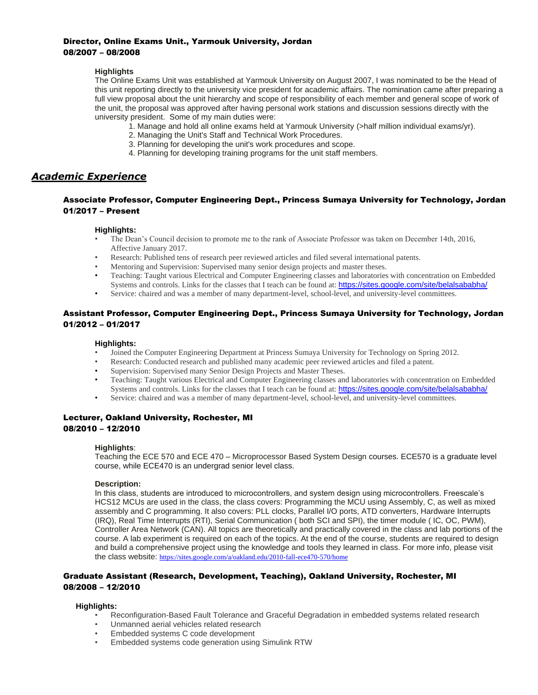#### Director, Online Exams Unit., Yarmouk University, Jordan 08/2007 – 08/2008

#### **Highlights**

The Online Exams Unit was established at Yarmouk University on August 2007, I was nominated to be the Head of this unit reporting directly to the university vice president for academic affairs. The nomination came after preparing a full view proposal about the unit hierarchy and scope of responsibility of each member and general scope of work of the unit, the proposal was approved after having personal work stations and discussion sessions directly with the university president. Some of my main duties were:

- 1. Manage and hold all online exams held at Yarmouk University (>half million individual exams/yr).
- 2. Managing the Unit's Staff and Technical Work Procedures.
- 3. Planning for developing the unit's work procedures and scope.
- 4. Planning for developing training programs for the unit staff members.

### *Academic Experience*

#### Associate Professor, Computer Engineering Dept., Princess Sumaya University for Technology, Jordan 01/2017 – Present

#### **Highlights:**

- The Dean's Council decision to promote me to the rank of Associate Professor was taken on December 14th, 2016, Affective January 2017.
- Research: Published tens of research peer reviewed articles and filed several international patents.
- Mentoring and Supervision: Supervised many senior design projects and master theses.
- Teaching: Taught various Electrical and Computer Engineering classes and laboratories with concentration on Embedded Systems and controls. Links for the classes that I teach can be found at: <https://sites.google.com/site/belalsababha/>
- Service: chaired and was a member of many department-level, school-level, and university-level committees.

#### Assistant Professor, Computer Engineering Dept., Princess Sumaya University for Technology, Jordan 01/2012 – 01/2017

#### **Highlights:**

- Joined the Computer Engineering Department at Princess Sumaya University for Technology on Spring 2012.
- Research: Conducted research and published many academic peer reviewed articles and filed a patent.
- Supervision: Supervised many Senior Design Projects and Master Theses.
- Teaching: Taught various Electrical and Computer Engineering classes and laboratories with concentration on Embedded Systems and controls. Links for the classes that I teach can be found at: <https://sites.google.com/site/belalsababha/>
- Service: chaired and was a member of many department-level, school-level, and university-level committees.

#### Lecturer, Oakland University, Rochester, MI 08/2010 – 12/2010

#### **Highlights**:

Teaching the ECE 570 and ECE 470 – Microprocessor Based System Design courses. ECE570 is a graduate level course, while ECE470 is an undergrad senior level class.

#### **Description:**

In this class, students are introduced to microcontrollers, and system design using microcontrollers. Freescale's HCS12 MCUs are used in the class, the class covers: Programming the MCU using Assembly, C, as well as mixed assembly and C programming. It also covers: PLL clocks, Parallel I/O ports, ATD converters, Hardware Interrupts (IRQ), Real Time Interrupts (RTI), Serial Communication ( both SCI and SPI), the timer module ( IC, OC, PWM), Controller Area Network (CAN). All topics are theoretically and practically covered in the class and lab portions of the course. A lab experiment is required on each of the topics. At the end of the course, students are required to design and build a comprehensive project using the knowledge and tools they learned in class. For more info, please visit the class website: <https://sites.google.com/a/oakland.edu/2010-fall-ece470-570/home>

#### Graduate Assistant (Research, Development, Teaching), Oakland University, Rochester, MI 08/2008 – 12/2010

#### **Highlights:**

- Reconfiguration-Based Fault Tolerance and Graceful Degradation in embedded systems related research
- Unmanned aerial vehicles related research
- Embedded systems C code development
- Embedded systems code generation using Simulink RTW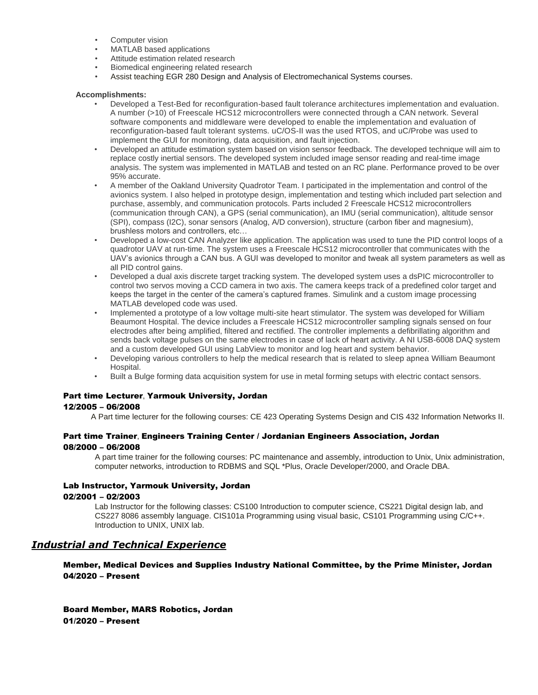- Computer vision
- MATLAB based applications
- Attitude estimation related research
- Biomedical engineering related research
- Assist teaching EGR 280 Design and Analysis of Electromechanical Systems courses.

#### **Accomplishments:**

- Developed a Test-Bed for reconfiguration-based fault tolerance architectures implementation and evaluation. A number (>10) of Freescale HCS12 microcontrollers were connected through a CAN network. Several software components and middleware were developed to enable the implementation and evaluation of reconfiguration-based fault tolerant systems. uC/OS-II was the used RTOS, and uC/Probe was used to implement the GUI for monitoring, data acquisition, and fault injection.
- Developed an attitude estimation system based on vision sensor feedback. The developed technique will aim to replace costly inertial sensors. The developed system included image sensor reading and real-time image analysis. The system was implemented in MATLAB and tested on an RC plane. Performance proved to be over 95% accurate.
- A member of the Oakland University Quadrotor Team. I participated in the implementation and control of the avionics system. I also helped in prototype design, implementation and testing which included part selection and purchase, assembly, and communication protocols. Parts included 2 Freescale HCS12 microcontrollers (communication through CAN), a GPS (serial communication), an IMU (serial communication), altitude sensor (SPI), compass (I2C), sonar sensors (Analog, A/D conversion), structure (carbon fiber and magnesium), brushless motors and controllers, etc…
- Developed a low-cost CAN Analyzer like application. The application was used to tune the PID control loops of a quadrotor UAV at run-time. The system uses a Freescale HCS12 microcontroller that communicates with the UAV's avionics through a CAN bus. A GUI was developed to monitor and tweak all system parameters as well as all PID control gains.
- Developed a dual axis discrete target tracking system. The developed system uses a dsPIC microcontroller to control two servos moving a CCD camera in two axis. The camera keeps track of a predefined color target and keeps the target in the center of the camera's captured frames. Simulink and a custom image processing MATLAB developed code was used.
- Implemented a prototype of a low voltage multi-site heart stimulator. The system was developed for William Beaumont Hospital. The device includes a Freescale HCS12 microcontroller sampling signals sensed on four electrodes after being amplified, filtered and rectified. The controller implements a defibrillating algorithm and sends back voltage pulses on the same electrodes in case of lack of heart activity. A NI USB-6008 DAQ system and a custom developed GUI using LabView to monitor and log heart and system behavior.
- Developing various controllers to help the medical research that is related to sleep apnea William Beaumont Hospital.
- Built a Bulge forming data acquisition system for use in metal forming setups with electric contact sensors.

## Part time Lecturer, Yarmouk University, Jordan

#### 12/2005 – 06/2008

A Part time lecturer for the following courses: CE 423 Operating Systems Design and CIS 432 Information Networks II.

#### Part time Trainer, Engineers Training Center / Jordanian Engineers Association, Jordan 08/2000 – 06/2008

A part time trainer for the following courses: PC maintenance and assembly, introduction to Unix, Unix administration, computer networks, introduction to RDBMS and SQL \*Plus, Oracle Developer/2000, and Oracle DBA.

#### Lab Instructor, Yarmouk University, Jordan

#### 02/2001 – 02/2003

Lab Instructor for the following classes: CS100 Introduction to computer science, CS221 Digital design lab, and CS227 8086 assembly language. CIS101a Programming using visual basic, CS101 Programming using C/C++. Introduction to UNIX, UNIX lab.

### *Industrial and Technical Experience*

Member, Medical Devices and Supplies Industry National Committee, by the Prime Minister, Jordan 04/2020 – Present

Board Member, MARS Robotics, Jordan 01/2020 – Present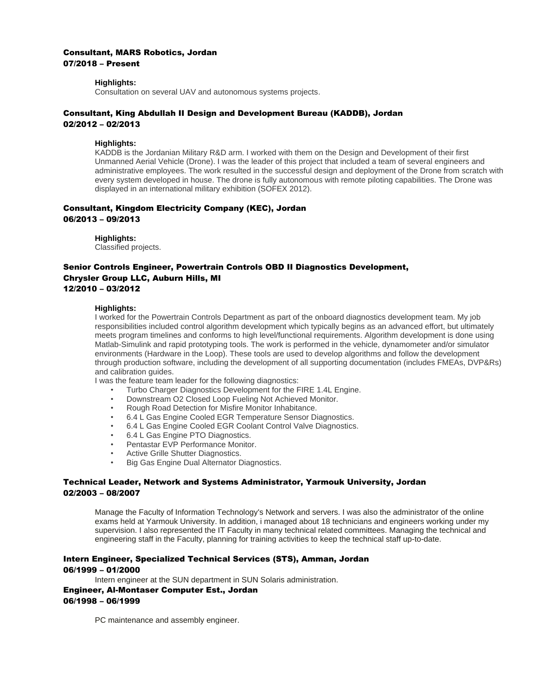#### Consultant, MARS Robotics, Jordan 07/2018 – Present

### **Highlights:**

Consultation on several UAV and autonomous systems projects.

#### Consultant, King Abdullah II Design and Development Bureau (KADDB), Jordan 02/2012 – 02/2013

#### **Highlights:**

KADDB is the Jordanian Military R&D arm. I worked with them on the Design and Development of their first Unmanned Aerial Vehicle (Drone). I was the leader of this project that included a team of several engineers and administrative employees. The work resulted in the successful design and deployment of the Drone from scratch with every system developed in house. The drone is fully autonomous with remote piloting capabilities. The Drone was displayed in an international military exhibition (SOFEX 2012).

#### Consultant, Kingdom Electricity Company (KEC), Jordan 06/2013 – 09/2013

**Highlights:**

Classified projects.

### Senior Controls Engineer, Powertrain Controls OBD II Diagnostics Development, Chrysler Group LLC, Auburn Hills, MI 12/2010 – 03/2012

#### **Highlights:**

I worked for the Powertrain Controls Department as part of the onboard diagnostics development team. My job responsibilities included control algorithm development which typically begins as an advanced effort, but ultimately meets program timelines and conforms to high level/functional requirements. Algorithm development is done using Matlab-Simulink and rapid prototyping tools. The work is performed in the vehicle, dynamometer and/or simulator environments (Hardware in the Loop). These tools are used to develop algorithms and follow the development through production software, including the development of all supporting documentation (includes FMEAs, DVP&Rs) and calibration guides.

I was the feature team leader for the following diagnostics:

- Turbo Charger Diagnostics Development for the FIRE 1.4L Engine.
- Downstream O2 Closed Loop Fueling Not Achieved Monitor.
- Rough Road Detection for Misfire Monitor Inhabitance.
- 6.4 L Gas Engine Cooled EGR Temperature Sensor Diagnostics.
- 6.4 L Gas Engine Cooled EGR Coolant Control Valve Diagnostics.
- 6.4 L Gas Engine PTO Diagnostics.
- Pentastar EVP Performance Monitor.
- Active Grille Shutter Diagnostics.
- Big Gas Engine Dual Alternator Diagnostics.

#### Technical Leader, Network and Systems Administrator, Yarmouk University, Jordan 02/2003 – 08/2007

Manage the Faculty of Information Technology's Network and servers. I was also the administrator of the online exams held at Yarmouk University. In addition, i managed about 18 technicians and engineers working under my supervision. I also represented the IT Faculty in many technical related committees. Managing the technical and engineering staff in the Faculty, planning for training activities to keep the technical staff up-to-date.

#### Intern Engineer, Specialized Technical Services (STS), Amman, Jordan 06/1999 – 01/2000

Intern engineer at the SUN department in SUN Solaris administration.

#### Engineer, Al-Montaser Computer Est., Jordan

#### 06/1998 – 06/1999

PC maintenance and assembly engineer.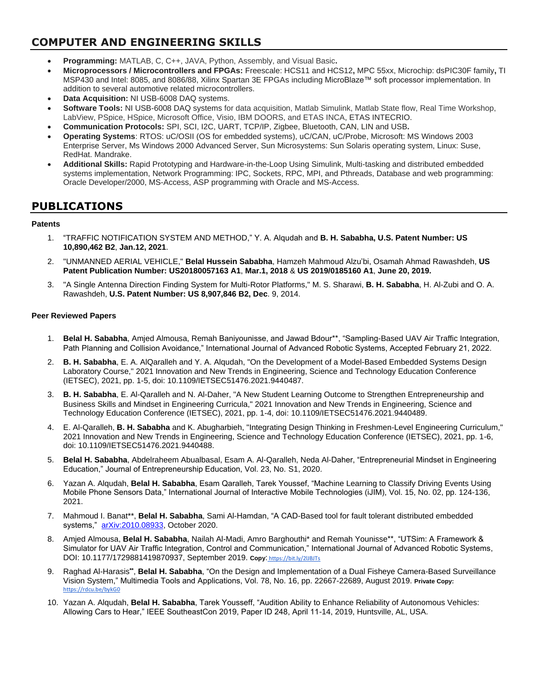## **COMPUTER AND ENGINEERING SKILLS**

- **Programming:** MATLAB, C, C++, JAVA, Python, Assembly, and Visual Basic**.**
- **Microprocessors / Microcontrollers and FPGAs:** Freescale: HCS11 and HCS12**,** MPC 55xx, Microchip: dsPIC30F family**,** TI MSP430 and Intel: 8085, and 8086/88, Xilinx Spartan 3E FPGAs including MicroBlaze™ soft processor implementation. In addition to several automotive related microcontrollers.
- **Data Acquisition:** NI USB-6008 DAQ systems.
- **Software Tools:** NI USB-6008 DAQ systems for data acquisition, Matlab Simulink, Matlab State flow, Real Time Workshop, LabView, PSpice, HSpice, Microsoft Office, Visio, IBM DOORS, and ETAS INCA, ETAS INTECRIO.
- **Communication Protocols:** SPI, SCI, I2C, UART, TCP/IP, Zigbee, Bluetooth, CAN, LIN and USB**.**
- **Operating Systems**: RTOS: uC/OSII (OS for embedded systems), uC/CAN, uC/Probe, Microsoft: MS Windows 2003 Enterprise Server, Ms Windows 2000 Advanced Server, Sun Microsystems: Sun Solaris operating system, Linux: Suse, RedHat. Mandrake.
- **Additional Skills:** Rapid Prototyping and Hardware-in-the-Loop Using Simulink, Multi-tasking and distributed embedded systems implementation, Network Programming: IPC, Sockets, RPC, MPI, and Pthreads, Database and web programming: Oracle Developer/2000, MS-Access, ASP programming with Oracle and MS-Access.

## **PUBLICATIONS**

#### **Patents**

- 1. "TRAFFIC NOTIFICATION SYSTEM AND METHOD," Y. A. Alqudah and **B. H. Sababha, U.S. Patent Number: US 10,890,462 B2**, **Jan.12, 2021**.
- 2. "UNMANNED AERIAL VEHICLE," **Belal Hussein Sababha**, Hamzeh Mahmoud Alzu'bi, Osamah Ahmad Rawashdeh, **US Patent Publication Number: US20180057163 A1**, **Mar.1, 2018** & **US 2019/0185160 A1**, **June 20, 2019.**
- 3. "A Single Antenna Direction Finding System for Multi-Rotor Platforms," M. S. Sharawi, **B. H. Sababha**, H. Al-Zubi and O. A. Rawashdeh, **U.S. Patent Number: US 8,907,846 B2, Dec**. 9, 2014.

#### **Peer Reviewed Papers**

- 1. **Belal H. Sababha**, Amjed Almousa, Remah Baniyounisse, and Jawad Bdour\*\*, "Sampling-Based UAV Air Traffic Integration, Path Planning and Collision Avoidance," International Journal of Advanced Robotic Systems, Accepted February 21, 2022.
- 2. **B. H. Sababha**, E. A. AlQaralleh and Y. A. Alqudah, "On the Development of a Model-Based Embedded Systems Design Laboratory Course," 2021 Innovation and New Trends in Engineering, Science and Technology Education Conference (IETSEC), 2021, pp. 1-5, doi: 10.1109/IETSEC51476.2021.9440487.
- 3. **B. H. Sababha**, E. Al-Qaralleh and N. Al-Daher, "A New Student Learning Outcome to Strengthen Entrepreneurship and Business Skills and Mindset in Engineering Curricula," 2021 Innovation and New Trends in Engineering, Science and Technology Education Conference (IETSEC), 2021, pp. 1-4, doi: 10.1109/IETSEC51476.2021.9440489.
- 4. E. Al-Qaralleh, **B. H. Sababha** and K. Abugharbieh, "Integrating Design Thinking in Freshmen-Level Engineering Curriculum," 2021 Innovation and New Trends in Engineering, Science and Technology Education Conference (IETSEC), 2021, pp. 1-6, doi: 10.1109/IETSEC51476.2021.9440488.
- 5. **Belal H. Sababha**, Abdelraheem Abualbasal, Esam A. Al-Qaralleh, Neda Al-Daher, "Entrepreneurial Mindset in Engineering Education," Journal of Entrepreneurship Education, Vol. 23, No. S1, 2020.
- 6. Yazan A. Alqudah, **Belal H. Sababha**, Esam Qaralleh, Tarek Youssef, "Machine Learning to Classify Driving Events Using Mobile Phone Sensors Data," International Journal of Interactive Mobile Technologies (iJIM), Vol. 15, No. 02, pp. 124-136, 2021.
- 7. Mahmoud I. Banat\*\*, **Belal H. Sababha**, Sami Al-Hamdan, "A CAD-Based tool for fault tolerant distributed embedded systems," [arXiv:2010.08933](https://arxiv.org/abs/2010.08933), October 2020.
- 8. Amjed Almousa, **Belal H. Sababha**, Nailah Al-Madi, Amro Barghouthi\* and Remah Younisse\*\*, "UTSim: A Framework & Simulator for UAV Air Traffic Integration, Control and Communication," International Journal of Advanced Robotic Systems, DOI: 10.1177/1729881419870937, September 2019. **Copy**: <https://bit.ly/2lJBJTs>
- 9. Raghad Al-Harasis**\*\*** , **Belal H. Sababha**, "On the Design and Implementation of a Dual Fisheye Camera-Based Surveillance Vision System," Multimedia Tools and Applications, Vol. 78, No. 16, pp. 22667-22689, August 2019. **Private Copy:** [https://rdcu.be/bykG0](http://em.rdcu.be/wf/click?upn=lMZy1lernSJ7apc5DgYM8cRlYJTlTVlP4V8Y5jOpitE-3D_KvgvSikPecBQRBZDsGXEvVFfLq0lfE5PwI4TapnSo65VLKhgET3-2Bt1cJ3l7L-2FDHaGvIgPaYaIk8cSVQKlYBa94MfBLoP4xa0X2TTorAOVGWBKOykX7nVz8Wq0d0fEHGS3C-2FdjzOcO-2F-2B69IFEynseIaJFUmaUTQ8j3hamRpBjHuhoe1PF-2FYcnycaHHHOSsgK2UObHhkXJoH3duV8VW4O-2FU4saLxNZ-2Filtm5GOqG8sU8lcaC-2BjTycBZrqEIWNVTMxnxdnjcreuDA-2Bio21bqu7XUA-3D-3D)
- 10. Yazan A. Alqudah, **Belal H. Sababha**, Tarek Yousseff, "Audition Ability to Enhance Reliability of Autonomous Vehicles: Allowing Cars to Hear," IEEE SoutheastCon 2019, Paper ID 248, April 11-14, 2019, Huntsville, AL, USA.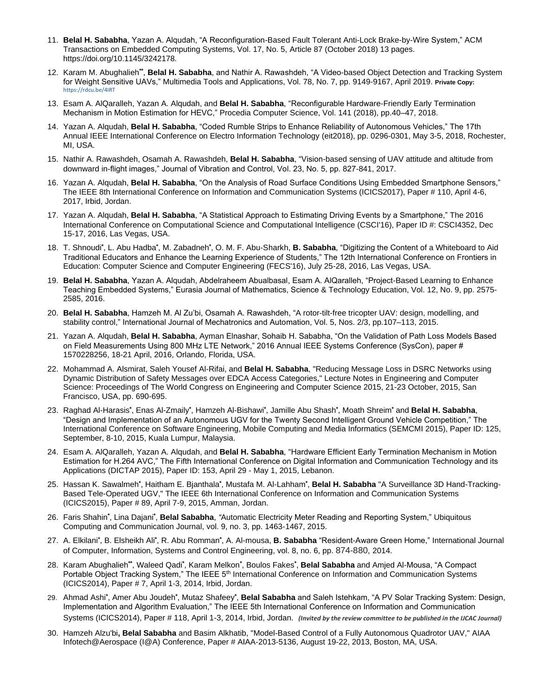- 11. **Belal H. Sababha**, Yazan A. Alqudah, "A Reconfiguration-Based Fault Tolerant Anti-Lock Brake-by-Wire System," ACM Transactions on Embedded Computing Systems, Vol. 17, No. 5, Article 87 (October 2018) 13 pages. https://doi.org/10.1145/3242178*.*
- 12. Karam M. Abughalieh**\*\*** , **Belal H. Sababha**, and Nathir A. Rawashdeh, "A Video-based Object Detection and Tracking System for Weight Sensitive UAVs," Multimedia Tools and Applications, Vol. 78, No. 7, pp. 9149-9167, April 2019. **Private Copy:** [https://rdcu.be/4IRT](http://em.rdcu.be/wf/click?upn=lMZy1lernSJ7apc5DgYM8bZVUWLWZ9qjXNCJl8N3O1I-3D_KvgvSikPecBQRBZDsGXEvVFfLq0lfE5PwI4TapnSo67GYSUBaMdvLcdfd63R-2FaxEC67FbRo32jN-2FYBl42bruEvB0AQOhMAjkY4stfhUqAwls9x0kv7jtmaeRQI492LpG6I9OZV4WNoBAB-2BEHSrMcBt-2FS1OIWKSr4Kxy-2FGwGN73mOqX-2F-2BvvJxUdAZhzJAaE1f6Jb-2BlcwKr3h-2Fo0fUrTmdP4Xt1ESsJgM51Y-2FY9K9YcZKdprHg0Mnr9uwaPpQr7o4pJzsi4O93nW1j8JcPsaaIlA-3D-3D)
- 13. Esam A. AlQaralleh, Yazan A. Alqudah, and **Belal H. Sababha**, "Reconfigurable Hardware-Friendly Early Termination Mechanism in Motion Estimation for HEVC," Procedia Computer Science, Vol. 141 (2018), pp.40–47, 2018.
- 14. Yazan A. Alqudah, **Belal H. Sababha**, "Coded Rumble Strips to Enhance Reliability of Autonomous Vehicles," The 17th Annual IEEE International Conference on Electro Information Technology (eit2018), pp. 0296-0301, May 3-5, 2018, Rochester, MI, USA.
- 15. Nathir A. Rawashdeh, Osamah A. Rawashdeh, **Belal H. Sababha**, "Vision-based sensing of UAV attitude and altitude from downward in-flight images," Journal of Vibration and Control, Vol. 23, No. 5, pp. 827-841, 2017.
- 16. Yazan A. Alqudah, **Belal H. Sababha**, "On the Analysis of Road Surface Conditions Using Embedded Smartphone Sensors," The IEEE 8th International Conference on Information and Communication Systems (ICICS2017), Paper # 110, April 4-6, 2017, Irbid, Jordan.
- 17. Yazan A. Alqudah, **Belal H. Sababha**, "A Statistical Approach to Estimating Driving Events by a Smartphone," The 2016 International Conference on Computational Science and Computational Intelligence (CSCI'16), Paper ID #: CSCI4352, Dec 15-17, 2016, Las Vegas, USA.
- 18. T. Shnoudi<sup>\*</sup>, L. Abu Hadba<sup>\*</sup>, M. Zabadneh<sup>\*</sup>, O. M. F. Abu-Sharkh, **B. Sababha**, "Digitizing the Content of a Whiteboard to Aid Traditional Educators and Enhance the Learning Experience of Students," The 12th International Conference on Frontiers in Education: Computer Science and Computer Engineering (FECS'16), July 25-28, 2016, Las Vegas, USA.
- 19. **Belal H. Sababha**, Yazan A. Alqudah, Abdelraheem Abualbasal, Esam A. AlQaralleh, "Project-Based Learning to Enhance Teaching Embedded Systems," Eurasia Journal of Mathematics, Science & Technology Education, Vol. 12, No. 9, pp. 2575- 2585, 2016.
- 20. **Belal H. Sababha**, Hamzeh M. Al Zu'bi, Osamah A. Rawashdeh, "A rotor-tilt-free tricopter UAV: design, modelling, and stability control," International Journal of Mechatronics and Automation, Vol. 5, Nos. 2/3, pp.107–113, 2015.
- 21. Yazan A. Alqudah, **Belal H. Sababha**, Ayman Elnashar, Sohaib H. Sababha, "On the Validation of Path Loss Models Based on Field Measurements Using 800 MHz LTE Network," 2016 Annual IEEE Systems Conference (SysCon), paper # 1570228256, 18-21 April, 2016, Orlando, Florida, USA.
- 22. Mohammad A. Alsmirat, Saleh Yousef Al-Rifai, and **Belal H. Sababha**, "Reducing Message Loss in DSRC Networks using Dynamic Distribution of Safety Messages over EDCA Access Categories," Lecture Notes in Engineering and Computer Science: Proceedings of The World Congress on Engineering and Computer Science 2015, 21-23 October, 2015, San Francisco, USA, pp. 690-695.
- 23. Raghad Al-Harasis<sup>\*</sup>, Enas Al-Zmaily<sup>\*</sup>, Hamzeh Al-Bishawi<sup>\*</sup>, Jamille Abu Shash<sup>\*</sup>, Moath Shreim<sup>\*</sup> and **Belal H. Sababha**, "Design and Implementation of an Autonomous UGV for the Twenty Second Intelligent Ground Vehicle Competition," The International Conference on Software Engineering, Mobile Computing and Media Informatics (SEMCMI 2015), Paper ID: 125, September, 8-10, 2015, Kuala Lumpur, Malaysia.
- 24. Esam A. AlQaralleh, Yazan A. Alqudah, and **Belal H. Sababha**, "Hardware Efficient Early Termination Mechanism in Motion Estimation for H.264 AVC," The Fifth International Conference on Digital Information and Communication Technology and its Applications (DICTAP 2015), Paper ID: 153, April 29 - May 1, 2015, Lebanon.
- 25. Hassan K. Sawalmeh<sup>\*</sup>, Haitham E. Bjanthala<sup>\*</sup>, Mustafa M. Al-Lahham\*, **Belal H. Sababha** "A Surveillance 3D Hand-Tracking-Based Tele-Operated UGV," The IEEE 6th International Conference on Information and Communication Systems (ICICS2015), Paper # 89, April 7-9, 2015, Amman, Jordan.
- 26. Faris Shahin<sup>\*</sup>, Lina Dajani<sup>\*</sup>, Belal Sababha, "Automatic Electricity Meter Reading and Reporting System," Ubiquitous Computing and Communication Journal, vol. 9, no. 3, pp. 1463-1467, 2015.
- 27. A. Elkilani<sup>\*</sup>, B. Elsheikh Ali<sup>\*</sup>, R. Abu Romman<sup>\*</sup>, A. Al-mousa, **B. Sababha** "Resident-Aware Green Home," International Journal of Computer, Information, Systems and Control Engineering, vol. 8, no. 6, pp. 874-880, 2014.
- 28. Karam Abughalieh\*\*, Waleed Qadi\*, Karam Melkon\*, Boulos Fakes\*, **Belal Sababha** and Amjed Al-Mousa, "A Compact Portable Object Tracking System," The IEEE 5<sup>th</sup> International Conference on Information and Communication Systems (ICICS2014), Paper # 7, April 1-3, 2014, Irbid, Jordan.
- 29. Ahmad Ashi<sup>\*</sup>, Amer Abu Joudeh<sup>\*</sup>, Mutaz Shafeey<sup>\*</sup>, **Belal Sababha** and Saleh Istehkam, "A PV Solar Tracking System: Design, Implementation and Algorithm Evaluation," The IEEE 5th International Conference on Information and Communication Systems (ICICS2014), Paper # 118, April 1-3, 2014, Irbid, Jordan. *(Invited by the review committee to be published in the IJCAC Journal)*
- 30. Hamzeh Alzu'bi**, Belal Sababha** and Basim Alkhatib, "Model-Based Control of a Fully Autonomous Quadrotor UAV," AIAA Infotech@Aerospace (I@A) Conference, Paper # AIAA-2013-5136, August 19-22, 2013, Boston, MA, USA.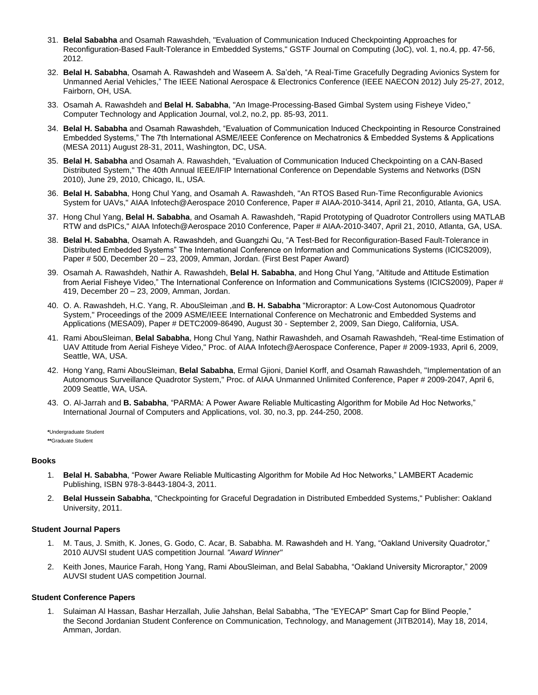- 31. **Belal Sababha** and Osamah Rawashdeh, "Evaluation of Communication Induced Checkpointing Approaches for Reconfiguration-Based Fault-Tolerance in Embedded Systems," GSTF Journal on Computing (JoC), vol. 1, no.4, pp. 47-56, 2012.
- 32. **Belal H. Sababha**, Osamah A. Rawashdeh and Waseem A. Sa'deh, "A Real-Time Gracefully Degrading Avionics System for Unmanned Aerial Vehicles," The IEEE [National Aerospace & Electronics Conference](http://naecon.org/) (IEEE NAECON 2012) July 25-27, 2012, Fairborn, OH, USA.
- 33. Osamah A. Rawashdeh and **Belal H. Sababha**, "An Image-Processing-Based Gimbal System using Fisheye Video," Computer Technology and Application Journal, vol.2, no.2, pp. 85-93, 2011.
- 34. **Belal H. Sababha** and Osamah Rawashdeh, "Evaluation of Communication Induced Checkpointing in Resource Constrained Embedded Systems," The 7th International ASME/IEEE Conference on Mechatronics & Embedded Systems & Applications (MESA 2011) August 28-31, 2011, Washington, DC, USA.
- 35. **Belal H. Sababha** and Osamah A. Rawashdeh, "Evaluation of Communication Induced Checkpointing on a CAN-Based Distributed System," The 40th Annual IEEE/IFIP International Conference on Dependable Systems and Networks (DSN 2010), June 29, 2010, Chicago, IL, USA.
- 36. **Belal H. Sababha**, Hong Chul Yang, and Osamah A. Rawashdeh, "An RTOS Based Run-Time Reconfigurable Avionics System for UAVs," AIAA Infotech@Aerospace 2010 Conference, Paper # AIAA-2010-3414, April 21, 2010, Atlanta, GA, USA.
- 37. Hong Chul Yang, **Belal H. Sababha**, and Osamah A. Rawashdeh, "Rapid Prototyping of Quadrotor Controllers using MATLAB RTW and dsPICs," AIAA Infotech@Aerospace 2010 Conference, Paper # AIAA-2010-3407, April 21, 2010, Atlanta, GA, USA.
- 38. **Belal H. Sababha**, Osamah A. Rawashdeh, and Guangzhi Qu, "A Test-Bed for Reconfiguration-Based Fault-Tolerance in Distributed Embedded Systems" The International Conference on Information and Communications Systems (ICICS2009), Paper # 500, December 20 – 23, 2009, Amman, Jordan. (First Best Paper Award)
- 39. Osamah A. Rawashdeh, Nathir A. Rawashdeh, **Belal H. Sababha**, and Hong Chul Yang, "Altitude and Attitude Estimation from Aerial Fisheye Video," The International Conference on Information and Communications Systems (ICICS2009), Paper # 419, December 20 – 23, 2009, Amman, Jordan.
- 40. O. A. Rawashdeh, H.C. Yang, R. AbouSleiman ,and **B. H. Sababha** "Microraptor: A Low-Cost Autonomous Quadrotor System," Proceedings of the 2009 ASME/IEEE International Conference on Mechatronic and Embedded Systems and Applications (MESA09), Paper # DETC2009-86490, August 30 - September 2, 2009, San Diego, California, USA.
- 41. Rami AbouSleiman, **Belal Sababha**, Hong Chul Yang, Nathir Rawashdeh, and Osamah Rawashdeh, "Real-time Estimation of UAV Attitude from Aerial Fisheye Video," Proc. of AIAA Infotech@Aerospace Conference, Paper # 2009-1933, April 6, 2009, Seattle, WA, USA.
- 42. Hong Yang, Rami AbouSleiman, **Belal Sababha**, Ermal Gjioni, Daniel Korff, and Osamah Rawashdeh, "Implementation of an Autonomous Surveillance Quadrotor System," Proc. of AIAA Unmanned Unlimited Conference, Paper # 2009-2047, April 6, 2009 Seattle, WA, USA.
- 43. O. Al-Jarrah and **B. Sababha**, "PARMA: A Power Aware Reliable Multicasting Algorithm for Mobile Ad Hoc Networks," International Journal of Computers and Applications, vol. 30, no.3, pp. 244-250, 2008.

**\***Undergraduate Student **\*\***Graduate Student

#### **Books**

- 1. **Belal H. Sababha**, "Power Aware Reliable Multicasting Algorithm for Mobile Ad Hoc Networks," LAMBERT Academic Publishing, ISBN 978-3-8443-1804-3, 2011.
- 2. **Belal Hussein Sababha**, "Checkpointing for Graceful Degradation in Distributed Embedded Systems," Publisher: Oakland University, 2011.

#### **Student Journal Papers**

- 1. M. Taus, J. Smith, K. Jones, G. Godo, C. Acar, B. Sababha. M. Rawashdeh and H. Yang, "Oakland University Quadrotor," 2010 AUVSI student UAS competition Journal. *"Award Winner"*
- 2. Keith Jones, Maurice Farah, Hong Yang, Rami AbouSleiman, and Belal Sababha, "Oakland University Microraptor," 2009 AUVSI student UAS competition Journal.

#### **Student Conference Papers**

1. Sulaiman Al Hassan, Bashar Herzallah, Julie Jahshan, Belal Sababha, "The "EYECAP" Smart Cap for Blind People," the Second Jordanian Student Conference on Communication, Technology, and Management (JITB2014), May 18, 2014, Amman, Jordan.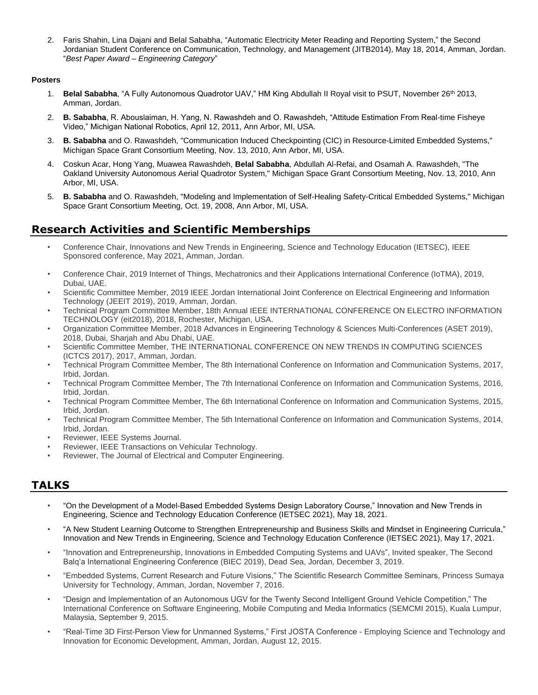2. Faris Shahin, Lina Dajani and Belal Sababha, "Automatic Electricity Meter Reading and Reporting System," the Second Jordanian Student Conference on Communication, Technology, and Management (JITB2014), May 18, 2014, Amman, Jordan. "*Best Paper Award – Engineering Category*"

#### **Posters**

- 1. **Belal Sababha**, "A Fully Autonomous Quadrotor UAV," HM King Abdullah II Royal visit to PSUT, November 26th 2013, Amman, Jordan.
- 2. **B. Sababha**, R. Abouslaiman, H. Yang, N. Rawashdeh and O. Rawashdeh, "Attitude Estimation From Real-time Fisheye Video," Michigan National Robotics, April 12, 2011, Ann Arbor, MI, USA.
- 3. **B. Sababha** and O. Rawashdeh, "Communication Induced Checkpointing (CIC) in Resource-Limited Embedded Systems," Michigan Space Grant Consortium Meeting, Nov. 13, 2010, Ann Arbor, MI, USA.
- 4. Coskun Acar, Hong Yang, Muawea Rawashdeh, **Belal Sababha**, Abdullah Al-Refai, and Osamah A. Rawashdeh, "The Oakland University Autonomous Aerial Quadrotor System," Michigan Space Grant Consortium Meeting, Nov. 13, 2010, Ann Arbor, MI, USA.
- 5. **B. Sababha** and O. Rawashdeh, "Modeling and Implementation of Self-Healing Safety-Critical Embedded Systems," Michigan Space Grant Consortium Meeting, Oct. 19, 2008, Ann Arbor, MI, USA.

## **Research Activities and Scientific Memberships**

- Conference Chair, Innovations and New Trends in Engineering, Science and Technology Education (IETSEC), IEEE Sponsored conference, May 2021, Amman, Jordan.
- Conference Chair, 2019 Internet of Things, Mechatronics and their Applications International Conference (IoTMA), 2019, Dubai, UAE.
- Scientific Committee Member, 2019 IEEE Jordan International Joint Conference on Electrical Engineering and Information Technology (JEEIT 2019), 2019, Amman, Jordan.
- Technical Program Committee Member, 18th Annual IEEE INTERNATIONAL CONFERENCE ON ELECTRO INFORMATION TECHNOLOGY (eit2018), 2018, Rochester, Michigan, USA.
- Organization Committee Member, 2018 Advances in Engineering Technology & Sciences Multi-Conferences (ASET 2019), 2018, Dubai, Sharjah and Abu Dhabi, UAE.
- Scientific Committee Member, THE INTERNATIONAL CONFERENCE ON NEW TRENDS IN COMPUTING SCIENCES (ICTCS 2017), 2017, Amman, Jordan.
- Technical Program Committee Member, The 8th International Conference on Information and Communication Systems, 2017, Irbid, Jordan.
- Technical Program Committee Member, The 7th International Conference on Information and Communication Systems, 2016, Irbid, Jordan.
- Technical Program Committee Member, The 6th International Conference on Information and Communication Systems, 2015, Irbid, Jordan.
- Technical Program Committee Member, The 5th International Conference on Information and Communication Systems, 2014, Irbid, Jordan.
- Reviewer, IEEE Systems Journal.
- Reviewer, IEEE Transactions on Vehicular Technology.
- Reviewer, The Journal of Electrical and Computer Engineering.

## **TALKS**

- "On the Development of a Model-Based Embedded Systems Design Laboratory Course," Innovation and New Trends in Engineering, Science and Technology Education Conference (IETSEC 2021), May 18, 2021.
- "A New Student Learning Outcome to Strengthen Entrepreneurship and Business Skills and Mindset in Engineering Curricula," Innovation and New Trends in Engineering, Science and Technology Education Conference (IETSEC 2021), May 17, 2021.
- "Innovation and Entrepreneurship, Innovations in Embedded Computing Systems and UAVs", Invited speaker, The Second Balq'a International Engineering Conference (BIEC 2019), Dead Sea, Jordan, December 3, 2019.
- "Embedded Systems, Current Research and Future Visions," The Scientific Research Committee Seminars, Princess Sumaya University for Technology, Amman, Jordan, November 7, 2016.
- "Design and Implementation of an Autonomous UGV for the Twenty Second Intelligent Ground Vehicle Competition," The International Conference on Software Engineering, Mobile Computing and Media Informatics (SEMCMI 2015), Kuala Lumpur, Malaysia, September 9, 2015.
- "Real-Time 3D First-Person View for Unmanned Systems," First JOSTA Conference Employing Science and Technology and Innovation for Economic Development, Amman, Jordan, August 12, 2015.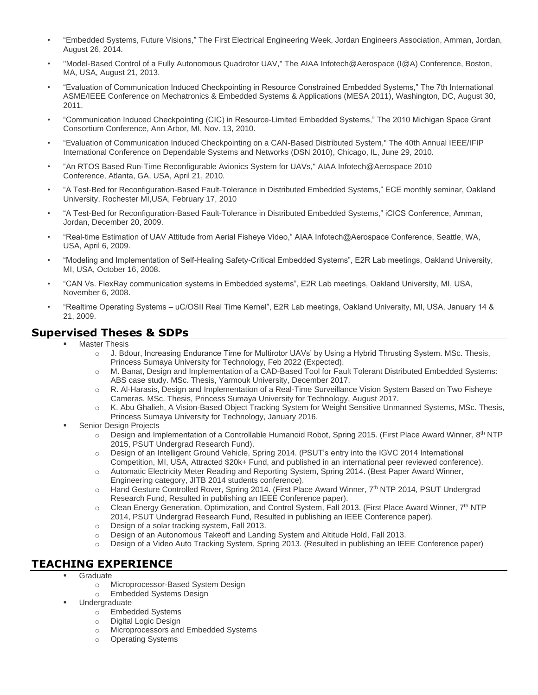- "Embedded Systems, Future Visions," The First Electrical Engineering Week, Jordan Engineers Association, Amman, Jordan, August 26, 2014.
- "Model-Based Control of a Fully Autonomous Quadrotor UAV," The AIAA Infotech@Aerospace (I@A) Conference, Boston, MA, USA, August 21, 2013.
- "Evaluation of Communication Induced Checkpointing in Resource Constrained Embedded Systems," The 7th International ASME/IEEE Conference on Mechatronics & Embedded Systems & Applications (MESA 2011), Washington, DC, August 30, 2011.
- "Communication Induced Checkpointing (CIC) in Resource-Limited Embedded Systems," The 2010 Michigan Space Grant Consortium Conference, Ann Arbor, MI, Nov. 13, 2010.
- "Evaluation of Communication Induced Checkpointing on a CAN-Based Distributed System," The 40th Annual IEEE/IFIP International Conference on Dependable Systems and Networks (DSN 2010), Chicago, IL, June 29, 2010.
- "An RTOS Based Run-Time Reconfigurable Avionics System for UAVs," AIAA Infotech@Aerospace 2010 Conference, Atlanta, GA, USA, April 21, 2010.
- "A Test-Bed for Reconfiguration-Based Fault-Tolerance in Distributed Embedded Systems," ECE monthly seminar, Oakland University, Rochester MI,USA, February 17, 2010
- "A Test-Bed for Reconfiguration-Based Fault-Tolerance in Distributed Embedded Systems," iCICS Conference, Amman, Jordan, December 20, 2009.
- "Real-time Estimation of UAV Attitude from Aerial Fisheye Video," AIAA Infotech@Aerospace Conference, Seattle, WA, USA, April 6, 2009.
- "Modeling and Implementation of Self-Healing Safety-Critical Embedded Systems", E2R Lab meetings, Oakland University, MI, USA, October 16, 2008.
- "CAN Vs. FlexRay communication systems in Embedded systems", E2R Lab meetings, Oakland University, MI, USA, November 6, 2008.
- "Realtime Operating Systems uC/OSII Real Time Kernel", E2R Lab meetings, Oakland University, MI, USA, January 14 & 21, 2009.

## **Supervised Theses & SDPs**

- **Master Thesis** 
	- o J. Bdour, Increasing Endurance Time for Multirotor UAVs' by Using a Hybrid Thrusting System. MSc. Thesis, Princess Sumaya University for Technology, Feb 2022 (Expected).
	- o M. Banat, Design and Implementation of a CAD-Based Tool for Fault Tolerant Distributed Embedded Systems: ABS case study. MSc. Thesis, Yarmouk University, December 2017.
	- o R. Al-Harasis, Design and Implementation of a Real-Time Surveillance Vision System Based on Two Fisheye Cameras. MSc. Thesis, Princess Sumaya University for Technology, August 2017.
	- o K. Abu Ghalieh, A Vision-Based Object Tracking System for Weight Sensitive Unmanned Systems, MSc. Thesis, Princess Sumaya University for Technology, January 2016.
- **Senior Design Projects** 
	- $\circ$  Design and Implementation of a Controllable Humanoid Robot, Spring 2015. (First Place Award Winner, 8<sup>th</sup> NTP 2015, PSUT Undergrad Research Fund).
	- o Design of an Intelligent Ground Vehicle, Spring 2014. (PSUT's entry into the IGVC 2014 International Competition, MI, USA, Attracted \$20k+ Fund, and published in an international peer reviewed conference).
	- o Automatic Electricity Meter Reading and Reporting System, Spring 2014. (Best Paper Award Winner, Engineering category, JITB 2014 students conference).
	- o Hand Gesture Controlled Rover, Spring 2014. (First Place Award Winner, 7<sup>th</sup> NTP 2014, PSUT Undergrad Research Fund, Resulted in publishing an IEEE Conference paper).
	- $\circ$  Clean Energy Generation, Optimization, and Control System, Fall 2013. (First Place Award Winner, 7<sup>th</sup> NTP 2014, PSUT Undergrad Research Fund, Resulted in publishing an IEEE Conference paper).
	- o Design of a solar tracking system, Fall 2013.
	- o Design of an Autonomous Takeoff and Landing System and Altitude Hold, Fall 2013.
	- o Design of a Video Auto Tracking System, Spring 2013. (Resulted in publishing an IEEE Conference paper)

## **TEACHING EXPERIENCE**

- **Graduate** 
	- o Microprocessor-Based System Design
	- o Embedded Systems Design
- Undergraduate
	- o Embedded Systems<br>
	o Digital Logic Design<br>
	Microprocessors and
	- Digital Logic Design
	- o Microprocessors and Embedded Systems
	- o Operating Systems